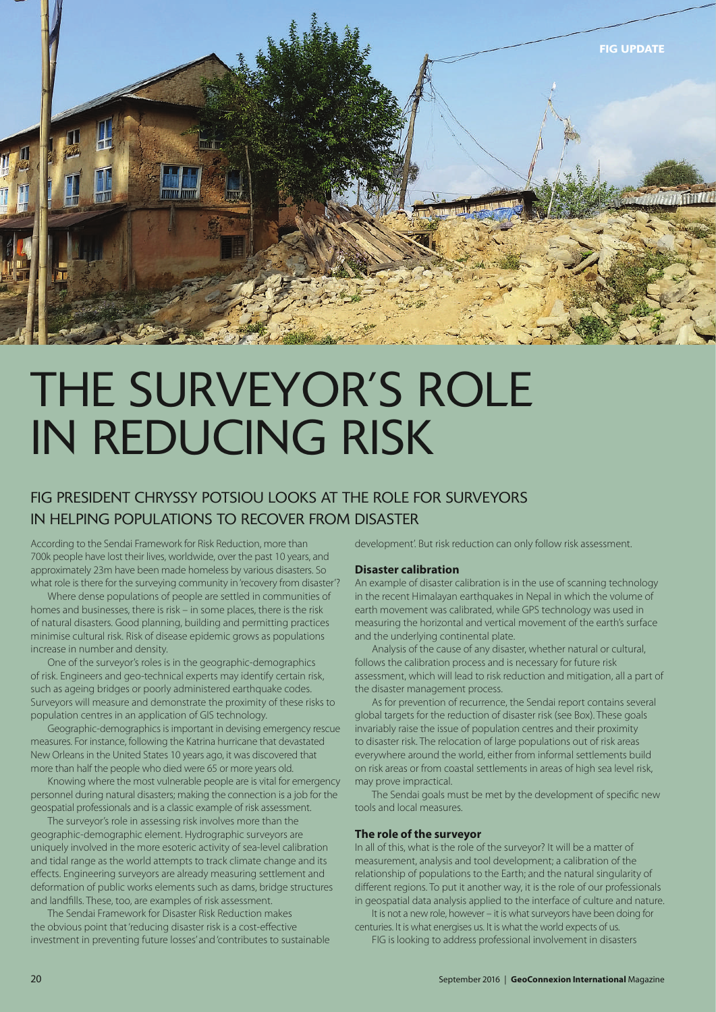

# THE SURVEYOR'S ROLE IN REDUCING RISK

# FIG PRESIDENT CHRYSSY POTSIOU LOOKS AT THE ROLE FOR SURVEYORS IN HELPING POPULATIONS TO RECOVER FROM DISASTER

According to the Sendai Framework for Risk Reduction, more than 700k people have lost their lives, worldwide, over the past 10 years, and approximately 23m have been made homeless by various disasters. So what role is there for the surveying community in 'recovery from disaster'?

Where dense populations of people are settled in communities of homes and businesses, there is risk – in some places, there is the risk of natural disasters. Good planning, building and permitting practices minimise cultural risk. Risk of disease epidemic grows as populations increase in number and density.

One of the surveyor's roles is in the geographic-demographics of risk. Engineers and geo-technical experts may identify certain risk, such as ageing bridges or poorly administered earthquake codes. Surveyors will measure and demonstrate the proximity of these risks to population centres in an application of GIS technology.

Geographic-demographics is important in devising emergency rescue measures. For instance, following the Katrina hurricane that devastated New Orleans in the United States 10 years ago, it was discovered that more than half the people who died were 65 or more years old.

Knowing where the most vulnerable people are is vital for emergency personnel during natural disasters; making the connection is a job for the geospatial professionals and is a classic example of risk assessment.

The surveyor's role in assessing risk involves more than the geographic-demographic element. Hydrographic surveyors are uniquely involved in the more esoteric activity of sea-level calibration and tidal range as the world attempts to track climate change and its effects. Engineering surveyors are already measuring settlement and deformation of public works elements such as dams, bridge structures and landfills. These, too, are examples of risk assessment.

The Sendai Framework for Disaster Risk Reduction makes the obvious point that'reducing disaster risk is a cost-effective investment in preventing future losses' and'contributes to sustainable development'. But risk reduction can only follow risk assessment.

#### **Disaster calibration**

An example of disaster calibration is in the use of scanning technology in the recent Himalayan earthquakes in Nepal in which the volume of earth movement was calibrated, while GPS technology was used in measuring the horizontal and vertical movement of the earth's surface and the underlying continental plate.

Analysis of the cause of any disaster, whether natural or cultural, follows the calibration process and is necessary for future risk assessment, which will lead to risk reduction and mitigation, all a part of the disaster management process.

As for prevention of recurrence, the Sendai report contains several global targets for the reduction of disaster risk (see Box). These goals invariably raise the issue of population centres and their proximity to disaster risk. The relocation of large populations out of risk areas everywhere around the world, either from informal settlements build on risk areas or from coastal settlements in areas of high sea level risk, may prove impractical.

The Sendai goals must be met by the development of specific new tools and local measures.

#### **The role of the surveyor**

In all of this, what is the role of the surveyor? It will be a matter of measurement, analysis and tool development; a calibration of the relationship of populations to the Earth; and the natural singularity of different regions. To put it another way, it is the role of our professionals in geospatial data analysis applied to the interface of culture and nature.

It is not a new role, however – it is what surveyors have been doing for centuries. It is what energises us. It is what the world expects of us.

FIG is looking to address professional involvement in disasters